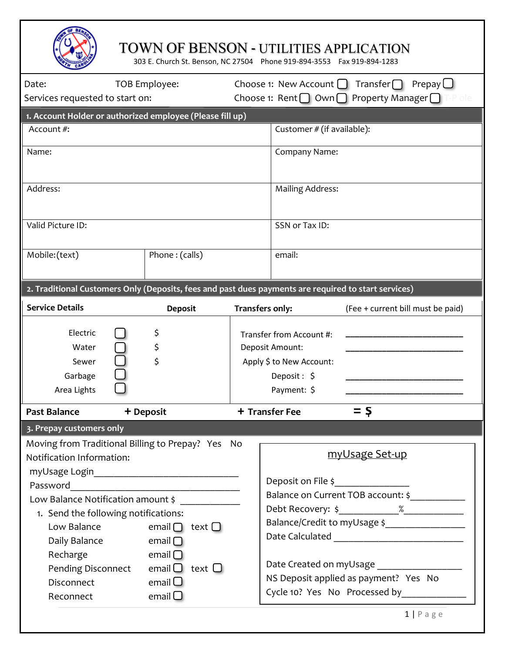## TOWN OF BENSON - UTILITIES APPLICATION

303 E. Church St. Benson, NC 27504 Phone 919-894-3553 Fax 919-894-1283

| Date:                                                                                                | TOB Employee:                               |                              |                                                                                      | Choose 1: New Account $\Box$<br>Transfer $\bigcap$<br>Prepay $\Box$ |  |  |  |  |
|------------------------------------------------------------------------------------------------------|---------------------------------------------|------------------------------|--------------------------------------------------------------------------------------|---------------------------------------------------------------------|--|--|--|--|
| Services requested to start on:                                                                      |                                             |                              | Choose 1: Rent $\bigcap$ Own $\bigcap$ Property Manager $\bigcap$<br>ole             |                                                                     |  |  |  |  |
| 1. Account Holder or authorized employee (Please fill up)                                            |                                             |                              |                                                                                      |                                                                     |  |  |  |  |
| Account #:                                                                                           |                                             |                              | Customer # (if available):                                                           |                                                                     |  |  |  |  |
|                                                                                                      |                                             |                              |                                                                                      |                                                                     |  |  |  |  |
| Name:                                                                                                |                                             |                              | Company Name:                                                                        |                                                                     |  |  |  |  |
|                                                                                                      |                                             |                              |                                                                                      |                                                                     |  |  |  |  |
|                                                                                                      |                                             |                              | <b>Mailing Address:</b>                                                              |                                                                     |  |  |  |  |
| Address:                                                                                             |                                             |                              |                                                                                      |                                                                     |  |  |  |  |
|                                                                                                      |                                             |                              |                                                                                      |                                                                     |  |  |  |  |
| Valid Picture ID:                                                                                    |                                             |                              | SSN or Tax ID:                                                                       |                                                                     |  |  |  |  |
|                                                                                                      |                                             |                              |                                                                                      |                                                                     |  |  |  |  |
| Mobile:(text)                                                                                        | Phone: (calls)                              |                              | email:                                                                               |                                                                     |  |  |  |  |
|                                                                                                      |                                             |                              |                                                                                      |                                                                     |  |  |  |  |
| 2. Traditional Customers Only (Deposits, fees and past dues payments are required to start services) |                                             |                              |                                                                                      |                                                                     |  |  |  |  |
|                                                                                                      |                                             |                              |                                                                                      |                                                                     |  |  |  |  |
| <b>Service Details</b>                                                                               | <b>Deposit</b>                              |                              | Transfers only:                                                                      | (Fee + current bill must be paid)                                   |  |  |  |  |
| Electric                                                                                             | \$                                          |                              | Transfer from Account #:                                                             |                                                                     |  |  |  |  |
| Water                                                                                                | \$                                          |                              | Deposit Amount:                                                                      |                                                                     |  |  |  |  |
| Sewer                                                                                                | \$                                          |                              | Apply \$ to New Account:                                                             |                                                                     |  |  |  |  |
| Garbage                                                                                              |                                             |                              | Deposit: \$                                                                          |                                                                     |  |  |  |  |
| Area Lights                                                                                          |                                             | Payment: \$                  |                                                                                      |                                                                     |  |  |  |  |
|                                                                                                      |                                             |                              |                                                                                      |                                                                     |  |  |  |  |
| <b>Past Balance</b>                                                                                  | + Deposit                                   |                              | + Transfer Fee                                                                       | $=$ \$                                                              |  |  |  |  |
| 3. Prepay customers only                                                                             |                                             |                              |                                                                                      |                                                                     |  |  |  |  |
| Moving from Traditional Billing to Prepay? Yes No                                                    |                                             |                              |                                                                                      |                                                                     |  |  |  |  |
| Notification Information:                                                                            |                                             |                              | myUsage Set-up                                                                       |                                                                     |  |  |  |  |
|                                                                                                      |                                             |                              |                                                                                      |                                                                     |  |  |  |  |
| Password <u>___________________________________</u>                                                  |                                             |                              | Deposit on File \$                                                                   |                                                                     |  |  |  |  |
| Low Balance Notification amount \$                                                                   |                                             |                              | Balance on Current TOB account: \$                                                   |                                                                     |  |  |  |  |
| 1. Send the following notifications:                                                                 |                                             |                              |                                                                                      |                                                                     |  |  |  |  |
| email $\Box$ text $\Box$<br>Low Balance                                                              |                                             | Balance/Credit to myUsage \$ |                                                                                      |                                                                     |  |  |  |  |
| Daily Balance $\Box$ email $\Box$                                                                    |                                             |                              |                                                                                      |                                                                     |  |  |  |  |
| Recharge<br>$\blacksquare$ and $\blacksquare$                                                        |                                             |                              |                                                                                      |                                                                     |  |  |  |  |
|                                                                                                      | Pending Disconnect email $\Box$ text $\Box$ |                              | Date Created on myUsage ___________________<br>NS Deposit applied as payment? Yes No |                                                                     |  |  |  |  |
| <b>Disconnect</b>                                                                                    |                                             |                              |                                                                                      |                                                                     |  |  |  |  |
| Reconnect                                                                                            | email $\Box$<br>email $\Box$                |                              |                                                                                      | Cycle 10? Yes No Processed by                                       |  |  |  |  |